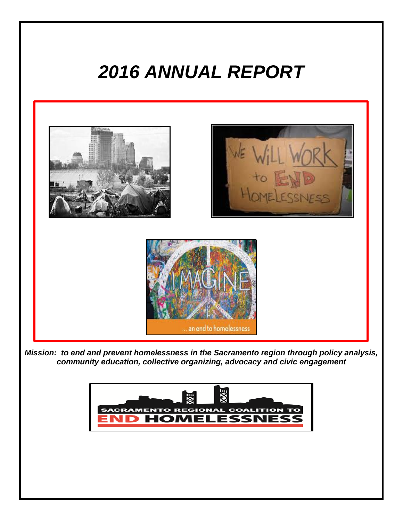# *2016 ANNUAL REPORT*

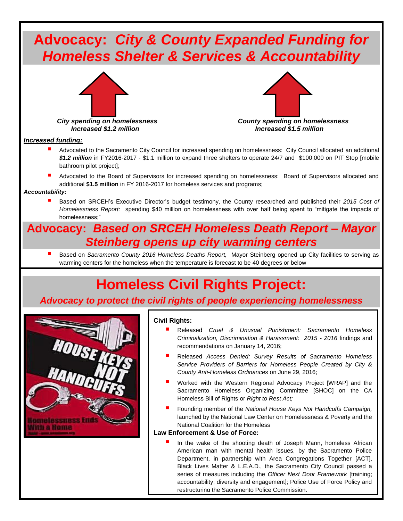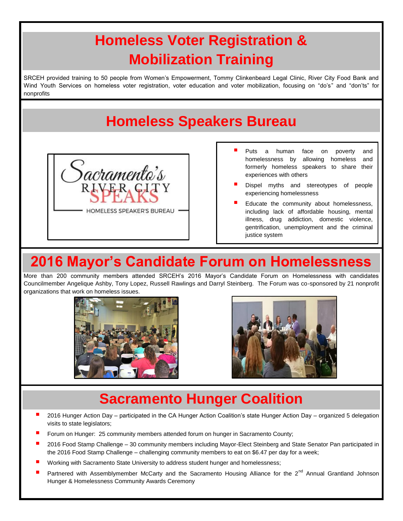# **Homeless Voter Registration & Mobilization Training**

SRCEH provided training to 50 people from Women's Empowerment, Tommy Clinkenbeard Legal Clinic, River City Food Bank and Wind Youth Services on homeless voter registration, voter education and voter mobilization, focusing on "do's" and "don'ts" for nonprofits

### **Homeless Speakers Bureau**



- Puts a human face on poverty and homelessness by allowing homeless and formerly homeless speakers to share their experiences with others
- Dispel myths and stereotypes of people experiencing homelessness
- Educate the community about homelessness, including lack of affordable housing, mental illness, drug addiction, domestic violence, gentrification, unemployment and the criminal justice system

# **2016 Mayor's Candidate Forum on Homelessness**

More than 200 community members attended SRCEH's 2016 Mayor's Candidate Forum on Homelessness with candidates Councilmember Angelique Ashby, Tony Lopez, Russell Rawlings and Darryl Steinberg. The Forum was co-sponsored by 21 nonprofit organizations that work on homeless issues.





#### **Sacramento Hunger Coalition**

- 2016 Hunger Action Day participated in the CA Hunger Action Coalition's state Hunger Action Day organized 5 delegation visits to state legislators;
- Forum on Hunger: 25 community members attended forum on hunger in Sacramento County;
- 2016 Food Stamp Challenge 30 community members including Mayor-Elect Steinberg and State Senator Pan participated in the 2016 Food Stamp Challenge – challenging community members to eat on \$6.47 per day for a week;
- Working with Sacramento State University to address student hunger and homelessness;
- Partnered with Assemblymember McCarty and the Sacramento Housing Alliance for the 2<sup>nd</sup> Annual Grantland Johnson Hunger & Homelessness Community Awards Ceremony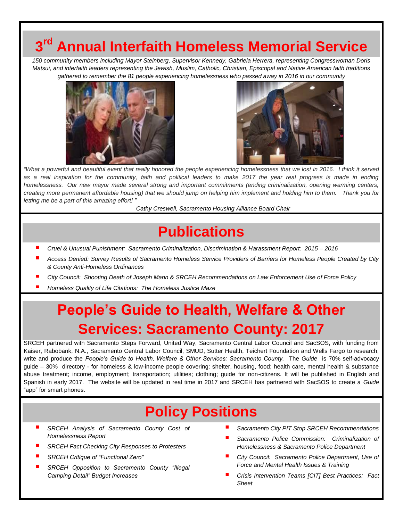# **3 rd Annual Interfaith Homeless Memorial Service**

*150 community members including Mayor Steinberg, Supervisor Kennedy, Gabriela Herrera, representing Congresswoman Doris Matsui, and interfaith leaders representing the Jewish, Muslim, Catholic, Christian, Episcopal and Native American faith traditions gathered to remember the 81 people experiencing homelessness who passed away in 2016 in our community*





*"What a powerful and beautiful event that really honored the people experiencing homelessness that we lost in 2016. I think it served as a real inspiration for the community, faith and political leaders to make 2017 the year real progress is made in ending homelessness. Our new mayor made several strong and important commitments (ending criminalization, opening warming centers, creating more permanent affordable housing) that we should jump on helping him implement and holding him to them. Thank you for letting me be a part of this amazing effort! "*

*Cathy Creswell, Sacramento Housing Alliance Board Chair*

#### **Publications**

- *Cruel & Unusual Punishment: Sacramento Criminalization, Discrimination & Harassment Report: 2015 – <sup>2016</sup>*
- *Access Denied: Survey Results of Sacramento Homeless Service Providers of Barriers for Homeless People Created by City & County Anti-Homeless Ordinances*
- *City Council: Shooting Death of Joseph Mann & SRCEH Recommendations on Law Enforcement Use of Force Policy*
- *Homeless Quality of Life Citations: The Homeless Justice Maze*

# **People's Guide to Health, Welfare & Other Services: Sacramento County: 2017**

SRCEH partnered with Sacramento Steps Forward, United Way, Sacramento Central Labor Council and SacSOS, with funding from Kaiser, Rabobank, N.A., Sacramento Central Labor Council, SMUD, Sutter Health, Teichert Foundation and Wells Fargo to research, write and produce the *People's Guide to Health, Welfare & Other Services: Sacramento County.* The *Guide* is 70% self-advocacy guide – 30% directory - for homeless & low-income people covering: shelter, housing, food; health care, mental health & substance abuse treatment; income, employment; transportation; utilities; clothing; guide for non-citizens. It will be published in English and Spanish in early 2017. The website will be updated in real time in 2017 and SRCEH has partnered with SacSOS to create a *Guide* "app" for smart phones.

#### **Policy Positions**

- *SRCEH Analysis of Sacramento County Cost of Homelessness Report*
- *SRCEH Fact Checking City Responses to Protesters*
- *SRCEH Critique of "Functional Zero"*
- *SRCEH Opposition to Sacramento County "Illegal Camping Detail" Budget Increases*
- *Sacramento City PIT Stop SRCEH Recommendations*
- *Sacramento Police Commission: Criminalization of Homelessness & Sacramento Police Department*
- *City Council: Sacramento Police Department, Use of Force and Mental Health Issues & Training*
- *Crisis Intervention Teams [CIT] Best Practices: Fact Sheet*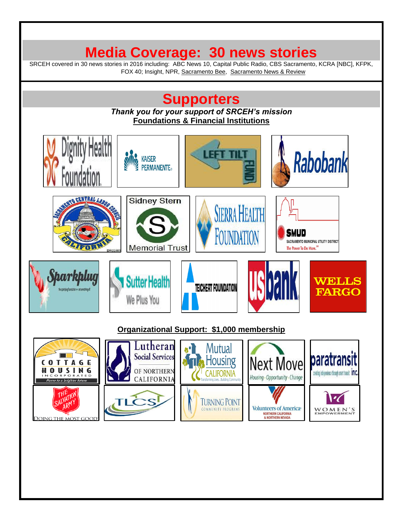#### **Media Coverage: 30 news stories**

SRCEH covered in 30 news stories in 2016 including: ABC News 10, Capital Public Radio, CBS Sacramento, KCRA [NBC], KFPK, FOX 40; Insight, NPR, Sacramento Bee, Sacramento News & Review